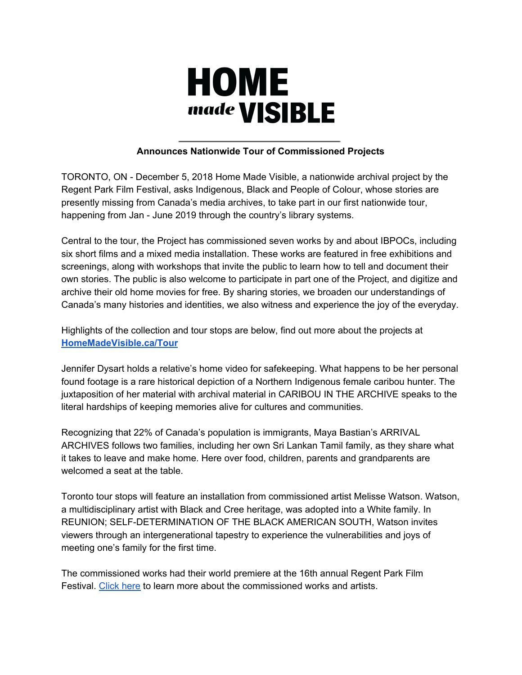

# **Announces Nationwide Tour of Commissioned Projects**

TORONTO, ON - December 5, 2018 Home Made Visible, a nationwide archival project by the Regent Park Film Festival, asks Indigenous, Black and People of Colour, whose stories are presently missing from Canada's media archives, to take part in our first nationwide tour, happening from Jan - June 2019 through the country's library systems.

Central to the tour, the Project has commissioned seven works by and about IBPOCs, including six short films and a mixed media installation. These works are featured in free exhibitions and screenings, along with workshops that invite the public to learn how to tell and document their own stories. The public is also welcome to participate in part one of the Project, and digitize and archive their old home movies for free. By sharing stories, we broaden our understandings of Canada's many histories and identities, we also witness and experience the joy of the everyday.

Highlights of the collection and tour stops are below, find out more about the projects at **[HomeMadeVisible.ca/Tour](http://homemadevisible.ca/Tour)**

Jennifer Dysart holds a relative's home video for safekeeping. What happens to be her personal found footage is a rare historical depiction of a Northern Indigenous female caribou hunter. The juxtaposition of her material with archival material in CARIBOU IN THE ARCHIVE speaks to the literal hardships of keeping memories alive for cultures and communities.

Recognizing that 22% of Canada's population is immigrants, Maya Bastian's ARRIVAL ARCHIVES follows two families, including her own Sri Lankan Tamil family, as they share what it takes to leave and make home. Here over food, children, parents and grandparents are welcomed a seat at the table.

Toronto tour stops will feature an installation from commissioned artist Melisse Watson. Watson, a multidisciplinary artist with Black and Cree heritage, was adopted into a White family. In REUNION; SELF-DETERMINATION OF THE BLACK AMERICAN SOUTH, Watson invites viewers through an intergenerational tapestry to experience the vulnerabilities and joys of meeting one's family for the first time.

The commissioned works had their world premiere at the 16th annual Regent Park Film Festival. [Click](http://regentparkfilmfestival.com/wp-content/uploads/2018/10/2018-HMV-Special-Presentation-Press-Release.pdf) here to learn more about the commissioned works and artists.